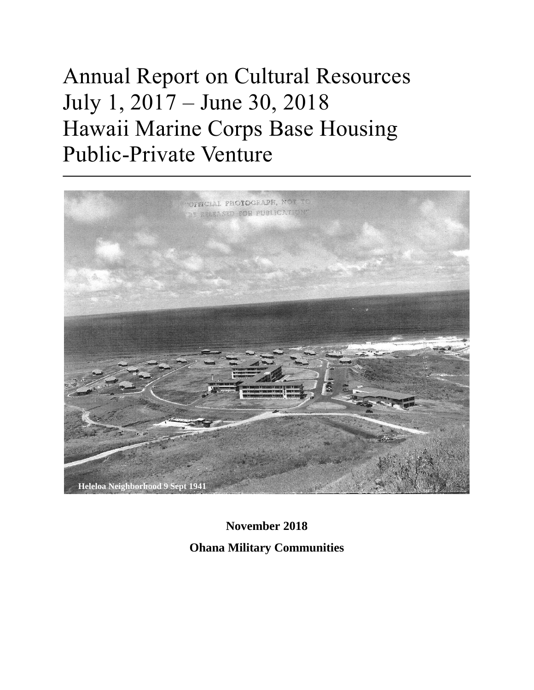# Annual Report on Cultural Resources July 1, 2017 – June 30, 2018 Hawaii Marine Corps Base Housing Public-Private Venture



**November 2018 Ohana Military Communities**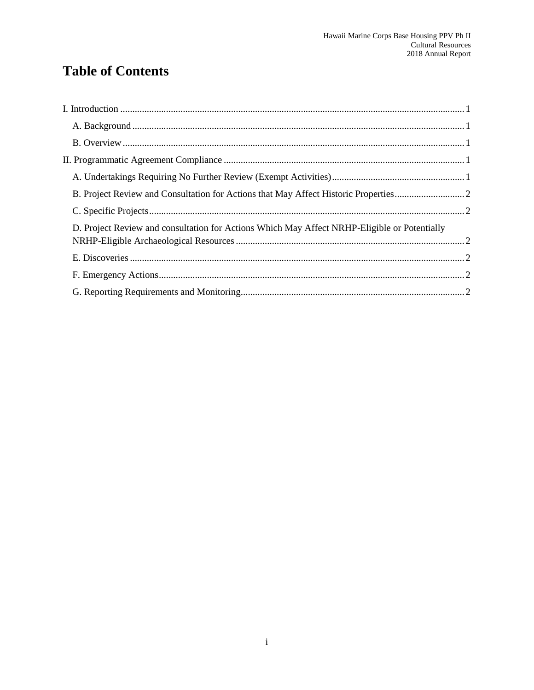## **Table of Contents**

| D. Project Review and consultation for Actions Which May Affect NRHP-Eligible or Potentially |  |
|----------------------------------------------------------------------------------------------|--|
|                                                                                              |  |
|                                                                                              |  |
|                                                                                              |  |
|                                                                                              |  |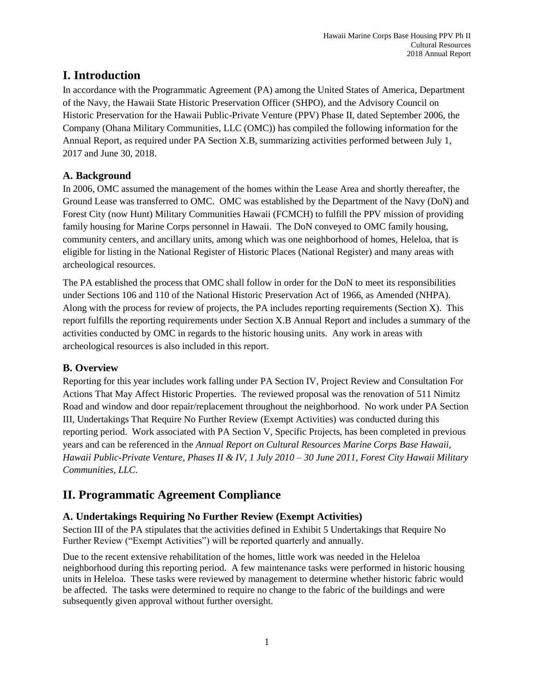## <span id="page-2-0"></span>**I. Introduction**

In accordance with the Programmatic Agreement (PA) among the United States of America, Department of the Navy, the Hawaii State Historic Preservation Officer (SHPO), and the Advisory Council on Historic Preservation for the Hawaii Public-Private Venture (PPV) Phase II, dated September 2006, the Company (Ohana Military Communities, LLC (OMC)) has compiled the following information for the Annual Report, as required under PA Section X.B, summarizing activities performed between July 1, 2017 and June 30, 2018.

#### <span id="page-2-1"></span>**A. Background**

In 2006, OMC assumed the management of the homes within the Lease Area and shortly thereafter, the Ground Lease was transferred to OMC. OMC was established by the Department of the Navy (DoN) and Forest City (now Hunt) Military Communities Hawaii (FCMCH) to fulfill the PPV mission of providing family housing for Marine Corps personnel in Hawaii. The DoN conveyed to OMC family housing, community centers, and ancillary units, among which was one neighborhood of homes, Heleloa, that is eligible for listing in the National Register of Historic Places (National Register) and many areas with archeological resources.

The PA established the process that OMC shall follow in order for the DoN to meet its responsibilities under Sections 106 and 110 of the National Historic Preservation Act of 1966, as Amended (NHPA). Along with the process for review of projects, the PA includes reporting requirements (Section X). This report fulfills the reporting requirements under Section X.B Annual Report and includes a summary of the activities conducted by OMC in regards to the historic housing units. Any work in areas with archeological resources is also included in this report.

#### <span id="page-2-2"></span>**B. Overview**

Reporting for this year includes work falling under PA Section IV, Project Review and Consultation For Actions That May Affect Historic Properties. The reviewed proposal was the renovation of 511 Nimitz Road and window and door repair/replacement throughout the neighborhood. No work under PA Section III, Undertakings That Require No Further Review (Exempt Activities) was conducted during this reporting period. Work associated with PA Section V, Specific Projects, has been completed in previous years and can be referenced in the *Annual Report on Cultural Resources Marine Corps Base Hawaii, Hawaii Public-Private Venture, Phases II & IV, 1 July 2010 – 30 June 2011, Forest City Hawaii Military Communities, LLC*.

## <span id="page-2-3"></span>**II. Programmatic Agreement Compliance**

### <span id="page-2-4"></span>**A. Undertakings Requiring No Further Review (Exempt Activities)**

Section III of the PA stipulates that the activities defined in Exhibit 5 Undertakings that Require No Further Review ("Exempt Activities") will be reported quarterly and annually.

Due to the recent extensive rehabilitation of the homes, little work was needed in the Heleloa neighborhood during this reporting period. A few maintenance tasks were performed in historic housing units in Heleloa. These tasks were reviewed by management to determine whether historic fabric would be affected. The tasks were determined to require no change to the fabric of the buildings and were subsequently given approval without further oversight.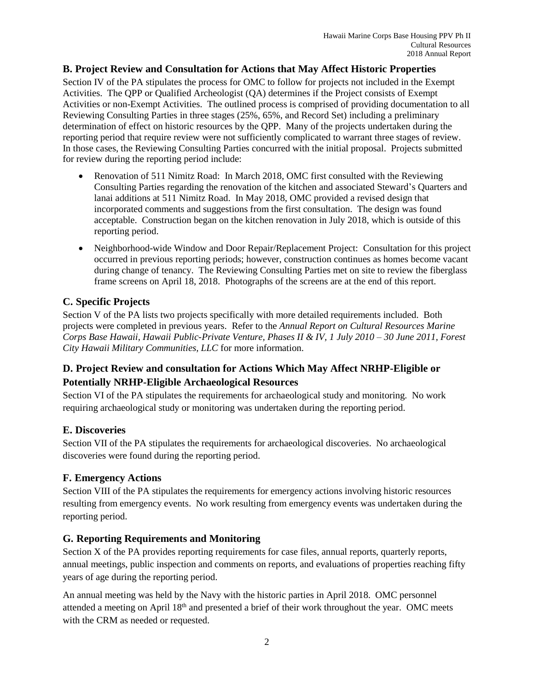#### <span id="page-3-0"></span>**B. Project Review and Consultation for Actions that May Affect Historic Properties**

Section IV of the PA stipulates the process for OMC to follow for projects not included in the Exempt Activities. The QPP or Qualified Archeologist (QA) determines if the Project consists of Exempt Activities or non-Exempt Activities. The outlined process is comprised of providing documentation to all Reviewing Consulting Parties in three stages (25%, 65%, and Record Set) including a preliminary determination of effect on historic resources by the QPP. Many of the projects undertaken during the reporting period that require review were not sufficiently complicated to warrant three stages of review. In those cases, the Reviewing Consulting Parties concurred with the initial proposal. Projects submitted for review during the reporting period include:

- Renovation of 511 Nimitz Road: In March 2018, OMC first consulted with the Reviewing Consulting Parties regarding the renovation of the kitchen and associated Steward's Quarters and lanai additions at 511 Nimitz Road. In May 2018, OMC provided a revised design that incorporated comments and suggestions from the first consultation. The design was found acceptable. Construction began on the kitchen renovation in July 2018, which is outside of this reporting period.
- Neighborhood-wide Window and Door Repair/Replacement Project: Consultation for this project occurred in previous reporting periods; however, construction continues as homes become vacant during change of tenancy. The Reviewing Consulting Parties met on site to review the fiberglass frame screens on April 18, 2018. Photographs of the screens are at the end of this report.

#### <span id="page-3-1"></span>**C. Specific Projects**

Section V of the PA lists two projects specifically with more detailed requirements included. Both projects were completed in previous years. Refer to the *Annual Report on Cultural Resources Marine Corps Base Hawaii, Hawaii Public-Private Venture, Phases II & IV, 1 July 2010 – 30 June 2011, Forest City Hawaii Military Communities, LLC* for more information.

#### <span id="page-3-2"></span>**D. Project Review and consultation for Actions Which May Affect NRHP-Eligible or Potentially NRHP-Eligible Archaeological Resources**

Section VI of the PA stipulates the requirements for archaeological study and monitoring. No work requiring archaeological study or monitoring was undertaken during the reporting period.

#### <span id="page-3-3"></span>**E. Discoveries**

Section VII of the PA stipulates the requirements for archaeological discoveries. No archaeological discoveries were found during the reporting period.

#### <span id="page-3-4"></span>**F. Emergency Actions**

Section VIII of the PA stipulates the requirements for emergency actions involving historic resources resulting from emergency events. No work resulting from emergency events was undertaken during the reporting period.

#### <span id="page-3-5"></span>**G. Reporting Requirements and Monitoring**

Section X of the PA provides reporting requirements for case files, annual reports, quarterly reports, annual meetings, public inspection and comments on reports, and evaluations of properties reaching fifty years of age during the reporting period.

An annual meeting was held by the Navy with the historic parties in April 2018. OMC personnel attended a meeting on April 18<sup>th</sup> and presented a brief of their work throughout the year. OMC meets with the CRM as needed or requested.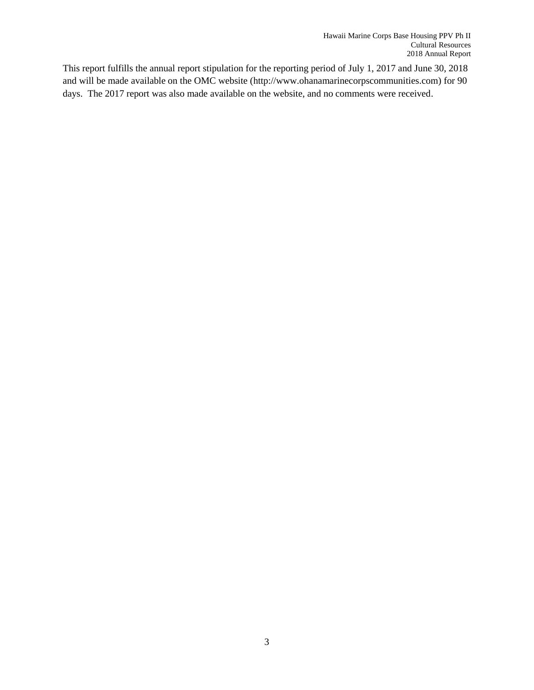This report fulfills the annual report stipulation for the reporting period of July 1, 2017 and June 30, 2018 and will be made available on the OMC website (http://www.ohanamarinecorpscommunities.com) for 90 days. The 2017 report was also made available on the website, and no comments were received.